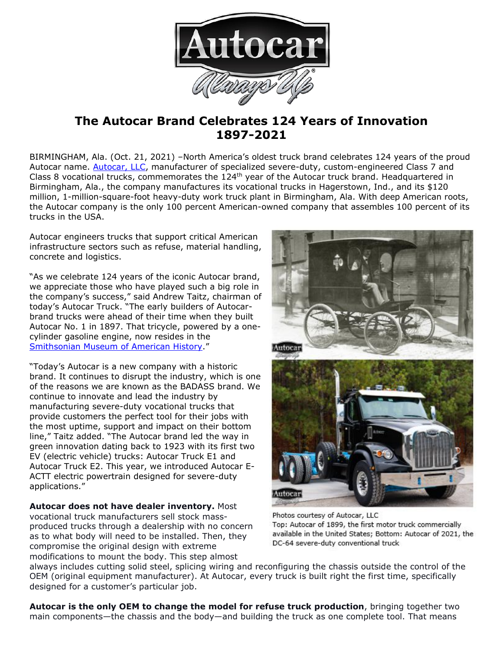

# **The Autocar Brand Celebrates 124 Years of Innovation 1897-2021**

BIRMINGHAM, Ala. (Oct. 21, 2021) –North America's oldest truck brand celebrates 124 years of the proud Autocar name. [Autocar, LLC,](https://www.autocartruck.com/history/?utm_source=digital&utm_medium=press+release&utm_campaign=The+Autocar+Brand+Celebrates+124+Years+of+Innovation) manufacturer of specialized severe-duty, custom-engineered Class 7 and Class 8 vocational trucks, commemorates the 124th year of the Autocar truck brand. Headquartered in Birmingham, Ala., the company manufactures its vocational trucks in Hagerstown, Ind., and its \$120 million, 1-million-square-foot heavy-duty work truck plant in Birmingham, Ala. With deep American roots, the Autocar company is the only 100 percent American-owned company that assembles 100 percent of its trucks in the USA.

Autocar engineers trucks that support critical American infrastructure sectors such as refuse, material handling, concrete and logistics.

"As we celebrate 124 years of the iconic Autocar brand, we appreciate those who have played such a big role in the company's success," said Andrew Taitz, chairman of today's Autocar Truck. "The early builders of Autocarbrand trucks were ahead of their time when they built Autocar No. 1 in 1897. That tricycle, powered by a onecylinder gasoline engine, now resides in the [Smithsonian Museum of American History](https://americanhistory.si.edu/collections/search/object/nmah_843060)."

"Today's Autocar is a new company with a historic brand. It continues to disrupt the industry, which is one of the reasons we are known as the BADASS brand. We continue to innovate and lead the industry by manufacturing severe-duty vocational trucks that provide customers the perfect tool for their jobs with the most uptime, support and impact on their bottom line," Taitz added. "The Autocar brand led the way in green innovation dating back to 1923 with its first two EV (electric vehicle) trucks: Autocar Truck E1 and Autocar Truck E2. This year, we introduced Autocar E-ACTT electric powertrain designed for severe-duty applications."

**Autocar does not have dealer inventory.** Most vocational truck manufacturers sell stock massproduced trucks through a dealership with no concern as to what body will need to be installed. Then, they compromise the original design with extreme modifications to mount the body. This step almost



Photos courtesy of Autocar, LLC Top: Autocar of 1899, the first motor truck commercially available in the United States; Bottom: Autocar of 2021, the DC-64 severe-duty conventional truck

always includes cutting solid steel, splicing wiring and reconfiguring the chassis outside the control of the OEM (original equipment manufacturer). At Autocar, every truck is built right the first time, specifically designed for a customer's particular job.

**Autocar is the only OEM to change the model for refuse truck production**, bringing together two main components—the chassis and the body—and building the truck as one complete tool. That means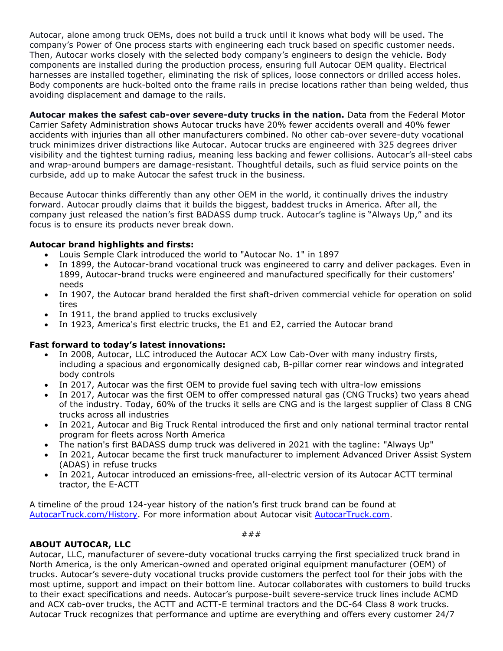Autocar, alone among truck OEMs, does not build a truck until it knows what body will be used. The company's Power of One process starts with engineering each truck based on specific customer needs. Then, Autocar works closely with the selected body company's engineers to design the vehicle. Body components are installed during the production process, ensuring full Autocar OEM quality. Electrical harnesses are installed together, eliminating the risk of splices, loose connectors or drilled access holes. Body components are huck-bolted onto the frame rails in precise locations rather than being welded, thus avoiding displacement and damage to the rails.

**Autocar makes the safest cab-over severe-duty trucks in the nation.** Data from the Federal Motor Carrier Safety Administration shows Autocar trucks have 20% fewer accidents overall and 40% fewer accidents with injuries than all other manufacturers combined. No other cab-over severe-duty vocational truck minimizes driver distractions like Autocar. Autocar trucks are engineered with 325 degrees driver visibility and the tightest turning radius, meaning less backing and fewer collisions. Autocar's all-steel cabs and wrap-around bumpers are damage-resistant. Thoughtful details, such as fluid service points on the curbside, add up to make Autocar the safest truck in the business.

Because Autocar thinks differently than any other OEM in the world, it continually drives the industry forward. Autocar proudly claims that it builds the biggest, baddest trucks in America. After all, the company just released the nation's first BADASS dump truck. Autocar's tagline is "Always Up," and its focus is to ensure its products never break down.

## **Autocar brand highlights and firsts:**

- Louis Semple Clark introduced the world to "Autocar No. 1" in 1897
- In 1899, the Autocar-brand vocational truck was engineered to carry and deliver packages. Even in 1899, Autocar-brand trucks were engineered and manufactured specifically for their customers' needs
- In 1907, the Autocar brand heralded the first shaft-driven commercial vehicle for operation on solid tires
- In 1911, the brand applied to trucks exclusively
- In 1923, America's first electric trucks, the E1 and E2, carried the Autocar brand

## **Fast forward to today's latest innovations:**

- In 2008, Autocar, LLC introduced the Autocar ACX Low Cab-Over with many industry firsts, including a spacious and ergonomically designed cab, B-pillar corner rear windows and integrated body controls
- In 2017, Autocar was the first OEM to provide fuel saving tech with ultra-low emissions
- In 2017, Autocar was the first OEM to offer compressed natural gas (CNG Trucks) two years ahead of the industry. Today, 60% of the trucks it sells are CNG and is the largest supplier of Class 8 CNG trucks across all industries
- In 2021, Autocar and Big Truck Rental introduced the first and only national terminal tractor rental program for fleets across North America
- The nation's first BADASS dump truck was delivered in 2021 with the tagline: "Always Up"
- In 2021, Autocar became the first truck manufacturer to implement Advanced Driver Assist System (ADAS) in refuse trucks
- In 2021, Autocar introduced an emissions-free, all-electric version of its Autocar ACTT terminal tractor, the E-ACTT

A timeline of the proud 124-year history of the nation's first truck brand can be found at [AutocarTruck.com/History.](https://www.autocartruck.com/history/?utm_source=digital&utm_medium=press+release&utm_campaign=The+Autocar+Brand+Celebrates+124+Years+of+Innovation) For more information about Autocar visit [AutocarTruck.com.](https://www.autocartruck.com/autocar-difference/?utm_source=digital&utm_medium=press+release&utm_campaign=The+Autocar+Brand+Celebrates+124+Years+of+Innovation)

## **ABOUT AUTOCAR, LLC**

Autocar, LLC, manufacturer of severe-duty vocational trucks carrying the first specialized truck brand in North America, is the only American-owned and operated original equipment manufacturer (OEM) of trucks. Autocar's severe-duty vocational trucks provide customers the perfect tool for their jobs with the most uptime, support and impact on their bottom line. Autocar collaborates with customers to build trucks to their exact specifications and needs. Autocar's purpose-built severe-service truck lines include ACMD and ACX cab-over trucks, the ACTT and ACTT-E terminal tractors and the DC-64 Class 8 work trucks. Autocar Truck recognizes that performance and uptime are everything and offers every customer 24/7

###